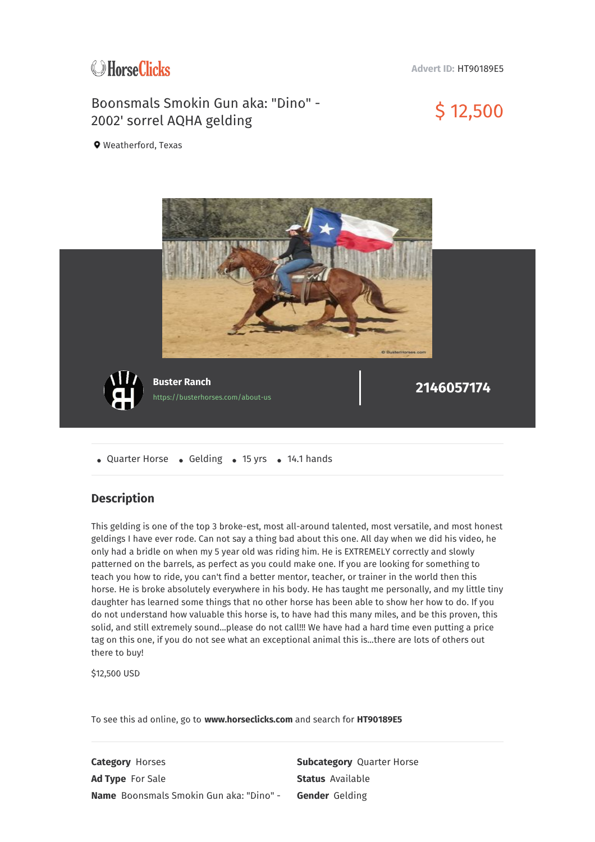

**Advert ID:** HT90189E5

## Boonsmals Smokin Gun aka: "Dino" - Boonsmals Smokin Gun aka: "Dino" -<br>2002' sorrel AQHA gelding the state of the State State State State State State S

**9** Weatherford, Texas



• Quarter Horse • Gelding • 15 yrs • 14.1 hands

## **Description**

This gelding is one of the top 3 broke-est, most all-around talented, most versatile, and most honest geldings I have ever rode. Can not say a thing bad about this one. All day when we did his video, he only had a bridle on when my 5 year old was riding him. He is EXTREMELY correctly and slowly patterned on the barrels, as perfect as you could make one. If you are looking for something to teach you how to ride, you can't find a better mentor, teacher, or trainer in the world then this horse. He is broke absolutely everywhere in his body. He has taught me personally, and my little tiny daughter has learned some things that no other horse has been able to show her how to do. If you do not understand how valuable this horse is, to have had this many miles, and be this proven, this solid, and still extremely sound...please do not call!!! We have had a hard time even putting a price tag on this one, if you do not see what an exceptional animal this is...there are lots of others out there to buy!

\$12,500 USD

To see this ad online, go to **www.horseclicks.com** and search for **HT90189E5**

**Category** Horses **Subcategory** Quarter Horse Ad Type For Sale **Status** Available **Name** Boonsmals Smokin Gun aka: "Dino" - **Gender** Gelding